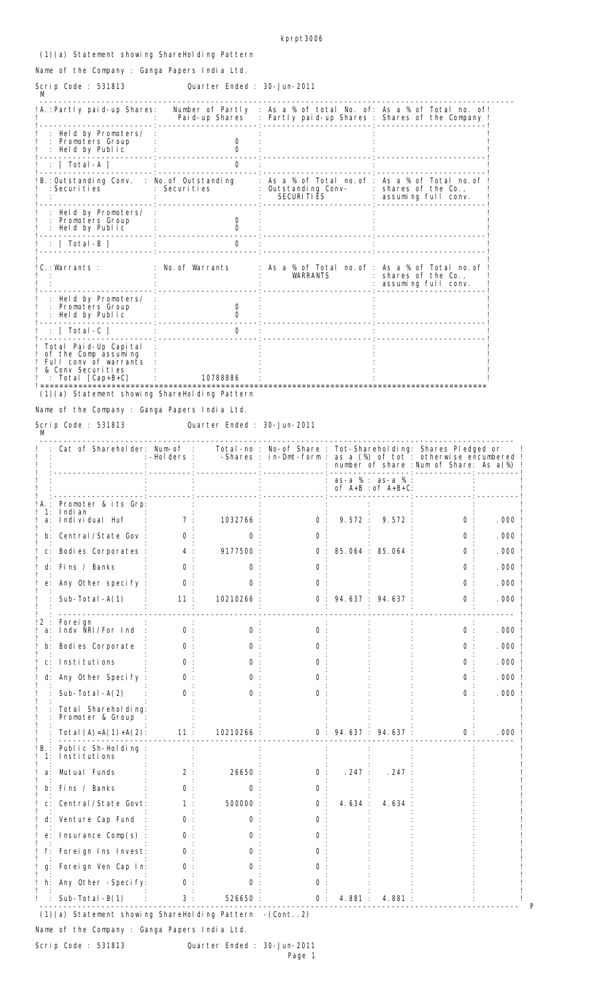## (1)(a) Statement showing ShareHolding Pattern

Name of the Company : Ganga Papers India Ltd.

## Quarter Ended : 30-Jun-2011 Scrip Code : 531813<br>M

| !A.:Partly paid-up Shares:                                                                                     | Pai d-up Shares | Number of Partly : As a % of total No. of: As a % of Total no. of!<br>: Partly paid-up Shares : Shares of the Company ! |                                               |
|----------------------------------------------------------------------------------------------------------------|-----------------|-------------------------------------------------------------------------------------------------------------------------|-----------------------------------------------|
| Held by Promoters/<br>Promoters Group<br>Held by Public                                                        | O               |                                                                                                                         |                                               |
| : $\lceil \int \text{Total -A} \rceil$                                                                         | 0               |                                                                                                                         |                                               |
| !B.:Outstanding Conv. : No.of Outstanding<br>: Securities                                                      | : Securities    | As a % of Total no.of : As a % of Total no.of<br>Outstanding Conv-<br>SECURI TI ĒS                                      | : shares of the Co.,<br>: assuming full conv. |
| Held by Promoters/<br>Promoters Group<br>Held by Public                                                        | $\Omega$        |                                                                                                                         |                                               |
| : [ Total-B ]                                                                                                  | O               |                                                                                                                         |                                               |
| $C.$ : Warrants :                                                                                              | No. of Warrants | : As a % of Total no.of : As a % of Total no.of<br><b>WARRANTS</b>                                                      | shares of the Co.,<br>assuming full conv.     |
| Held by Promoters/<br>Promoters Group<br>Held by Public                                                        |                 |                                                                                                                         |                                               |
| $: \;$ [ Total -C ]                                                                                            | $\Omega$        |                                                                                                                         |                                               |
| Total Paid-Up Capital<br>of the Comp assuming<br>Full conv of warrants<br>& Conv Securities<br>Total [Cap+B+C] | 10788886        |                                                                                                                         |                                               |

Name of the Company : Ganga Papers India Ltd.

Scrip Code : 531813<br>M

Quarter Ended : 30-Jun-2011

|                | Cat of Shareholder: Num-of :                                 | :-Holders :  |                   |              | Total-no : No-of Share : Tot-Shareholding: Shares Pledged or<br>-Shares : in-Dmt-form : as a (%) of tot : otherwise encumbered !<br>number of share : Num of Share: As a(%) |                                           |       |      |
|----------------|--------------------------------------------------------------|--------------|-------------------|--------------|-----------------------------------------------------------------------------------------------------------------------------------------------------------------------------|-------------------------------------------|-------|------|
|                |                                                              |              |                   |              |                                                                                                                                                                             | $as-a % : as-a %$<br>: of A+B : of A+B+C: |       |      |
| 1:<br>a:       | A.: Promoter & its Grp:<br>I ndi an<br>Indi vi dual Huf      | 7:           | 1032766:          | 0:           | 9.572:                                                                                                                                                                      | 9.572                                     | 0:    | .000 |
|                | b: Central/State Gov                                         | 0            | 0                 | <sup>o</sup> |                                                                                                                                                                             |                                           | 0     | .000 |
|                |                                                              |              |                   |              |                                                                                                                                                                             |                                           |       |      |
| $C$ :          | Bodies Corporates :                                          | 4:           | 9177500:          | 0:           |                                                                                                                                                                             | 85.064: 85.064                            | $O$ : | .000 |
| d:             | Fins / Banks                                                 | 0            | O                 |              |                                                                                                                                                                             |                                           | 0     | .000 |
|                | e: Any Other specify                                         | $\Omega$     | O                 | 0            |                                                                                                                                                                             |                                           | 0     | .000 |
|                | Sub-Total $-A(1)$                                            | 11:          | 10210266          | 0:           |                                                                                                                                                                             | 94.637 : 94.637                           | 0     | .000 |
| 2 :            | Forei gn                                                     |              |                   |              |                                                                                                                                                                             |                                           |       |      |
| a:             | Indy NRI/For Ind                                             | 0:           | $\Omega$          | 0            |                                                                                                                                                                             |                                           | 0:    | .000 |
| b:             | Bodies Corporate                                             | 0            | 0                 | 0            |                                                                                                                                                                             |                                           | 0     | .000 |
| $\mathsf{C}$ : | Institutions                                                 | 0            | O                 | 0            |                                                                                                                                                                             |                                           | 0     | .000 |
| d:             | Any Other Specify                                            | O            |                   |              |                                                                                                                                                                             |                                           | 0     | .000 |
|                | Sub-Total $-A(2)$                                            | $\Omega$     |                   | 0            |                                                                                                                                                                             |                                           | 0     | .000 |
|                | Total Shareholding:<br>Promoter & Group                      |              |                   |              |                                                                                                                                                                             |                                           |       |      |
|                | Total $(A) = A(1) + A(2)$ :                                  | 11:          | 10210266:         |              |                                                                                                                                                                             | 0: 94.637: 94.637:                        | 0:    | .000 |
| 1:             | Public Sh-Holding<br>Institutions                            |              |                   |              |                                                                                                                                                                             |                                           |       |      |
|                | Mutual Funds                                                 | 2            | 26650             | $\mathbf{0}$ | .247:                                                                                                                                                                       | .247                                      |       |      |
| b:             | Fins / Banks                                                 | <sup>o</sup> | <sup>0</sup>      | 0            |                                                                                                                                                                             |                                           |       |      |
| C:             | Central/State Govt:                                          | 1            | 500000            | 0            | 4.634:                                                                                                                                                                      | 4.634                                     |       |      |
|                | d: Venture Cap Fund                                          | 0            | 0                 | O            |                                                                                                                                                                             |                                           |       |      |
|                | e: Insurance Comp(s)                                         | 0            | $\mathbf{\Omega}$ |              |                                                                                                                                                                             |                                           |       |      |
|                | f: Foreign Ins Invest:                                       | 0            |                   |              |                                                                                                                                                                             |                                           |       |      |
|                | g: Foreign Ven Cap In:                                       | 0            |                   |              |                                                                                                                                                                             |                                           |       |      |
|                | h: Any Other -Specify:                                       | 0            |                   |              |                                                                                                                                                                             |                                           |       |      |
|                | Sub-Total-B(1)                                               | 3:           | 526650 :          | 0:           |                                                                                                                                                                             | 4.881: 4.881                              |       |      |
|                | $(1)(a)$ Statement showing ShareHolding Pattern $-(Cont. 2)$ |              |                   |              |                                                                                                                                                                             |                                           |       |      |

Name of the Company : Ganga Papers India Ltd.

Scrip Code : 531813 Quarter Ended : 30-Jun-2011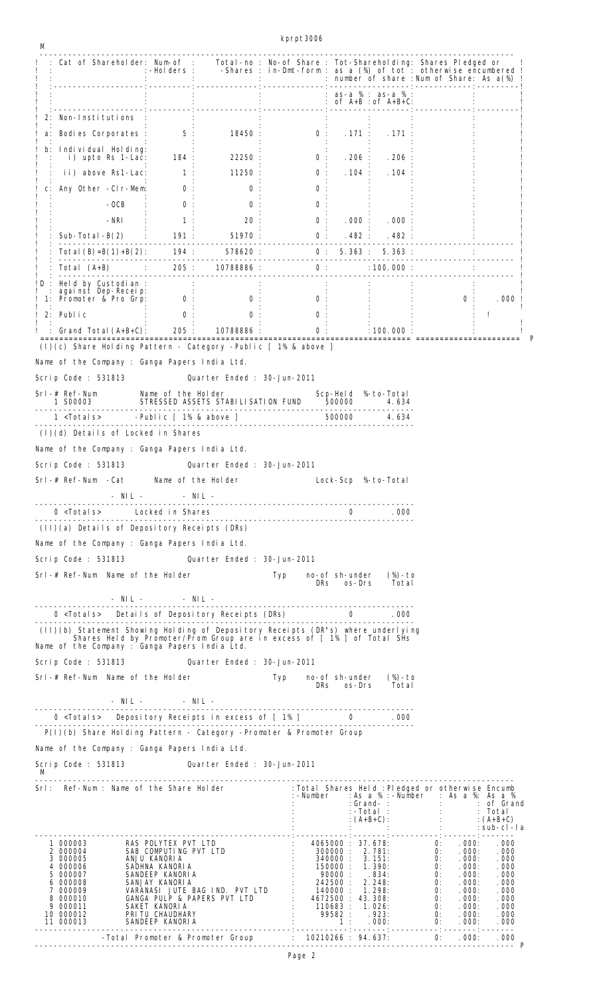kprpt3006

| М     |                                                                                                                                                                                                              |                      |                                                                                                                                                                                                                                                                                                           |                                      |        |                                                                                            |        |    |                  |         |
|-------|--------------------------------------------------------------------------------------------------------------------------------------------------------------------------------------------------------------|----------------------|-----------------------------------------------------------------------------------------------------------------------------------------------------------------------------------------------------------------------------------------------------------------------------------------------------------|--------------------------------------|--------|--------------------------------------------------------------------------------------------|--------|----|------------------|---------|
|       | Cat of Shareholder: Num-of : Total-no : No-of Share : Tot-Shareholding: Shares Pledged or !<br>! Holders : -Shares : in-Dmt-form : as a (%) of tot : otherwise encumbered.                                   |                      |                                                                                                                                                                                                                                                                                                           |                                      |        |                                                                                            |        |    |                  |         |
|       |                                                                                                                                                                                                              |                      | : $\frac{1}{2}$ : $\frac{1}{2}$ : $\frac{1}{2}$ : $\frac{1}{2}$ : $\frac{1}{2}$ : $\frac{1}{2}$ : $\frac{1}{2}$ : $\frac{1}{2}$ : $\frac{1}{2}$ : $\frac{1}{2}$ : $\frac{1}{2}$ : $\frac{1}{2}$ : $\frac{1}{2}$ : $\frac{1}{2}$ : $\frac{1}{2}$ : $\frac{1}{2}$ : $\frac{1}{2}$ : $\frac{1}{2}$ : $\frac$ |                                      |        |                                                                                            |        |    |                  |         |
|       | 2: Non-Institutions                                                                                                                                                                                          |                      |                                                                                                                                                                                                                                                                                                           |                                      |        |                                                                                            |        |    |                  |         |
| a:    | Bodies Corporates : 5:                                                                                                                                                                                       |                      |                                                                                                                                                                                                                                                                                                           | 18450 : 0 : 171 : 171 :              |        |                                                                                            |        |    |                  |         |
| $b$ : | Indi vi dual Hol di ng:                                                                                                                                                                                      |                      |                                                                                                                                                                                                                                                                                                           |                                      |        |                                                                                            |        |    |                  |         |
|       | i) upto Rs 1-Lac:                                                                                                                                                                                            | $184$ :              | 22250:                                                                                                                                                                                                                                                                                                    | 0:                                   |        | .206: .206                                                                                 |        |    |                  |         |
|       | ii) above Rs1-Lac:                                                                                                                                                                                           | $-1$ : $-$           | 11250:                                                                                                                                                                                                                                                                                                    | 0:                                   |        | .104: .104                                                                                 |        |    |                  |         |
| C:    | Any Other -CIr-Mem:                                                                                                                                                                                          | 0:                   | 0:                                                                                                                                                                                                                                                                                                        | 0                                    |        |                                                                                            |        |    |                  |         |
|       | $-OCB$                                                                                                                                                                                                       | 0:<br>$-NRI$ : 1:    | 0<br>20:                                                                                                                                                                                                                                                                                                  | 0<br>0:                              |        | .000: .000:                                                                                |        |    |                  |         |
|       |                                                                                                                                                                                                              |                      |                                                                                                                                                                                                                                                                                                           |                                      |        |                                                                                            |        |    |                  |         |
|       |                                                                                                                                                                                                              |                      |                                                                                                                                                                                                                                                                                                           |                                      |        |                                                                                            |        |    |                  |         |
|       |                                                                                                                                                                                                              |                      |                                                                                                                                                                                                                                                                                                           |                                      |        |                                                                                            |        |    |                  |         |
|       | !D : Held by Custodian :                                                                                                                                                                                     |                      |                                                                                                                                                                                                                                                                                                           |                                      |        |                                                                                            |        |    |                  |         |
|       | against Dep-Receip:<br>1: Promoter & Pro Grp: 0 :                                                                                                                                                            |                      | 0:                                                                                                                                                                                                                                                                                                        |                                      |        | $\begin{array}{ccc} & \vdots & & \vdots & \\ \mathbf{0} & \vdots & & \vdots & \end{array}$ |        |    | $\overline{0}$ : | . 000 ! |
|       | $2:$ Public                                                                                                                                                                                                  | $\overline{0}$ :     | 0:                                                                                                                                                                                                                                                                                                        |                                      | $0:$ : |                                                                                            |        |    |                  | ÷       |
|       | : Grand Total $(A+B+C)$ : 205 : 10788886 :                                                                                                                                                                   |                      |                                                                                                                                                                                                                                                                                                           | $\sim 10$                            |        | 0: 100.000:                                                                                |        |    |                  |         |
|       | (I)(c) Share Holding Pattern - Category -Public [ 1% & above ]                                                                                                                                               |                      |                                                                                                                                                                                                                                                                                                           |                                      |        |                                                                                            |        |    |                  |         |
|       | Name of the Company : Ganga Papers India Ltd.                                                                                                                                                                |                      |                                                                                                                                                                                                                                                                                                           |                                      |        |                                                                                            |        |    |                  |         |
|       | Scrip Code : 531813                                                                                                                                                                                          |                      | Quarter Ended: 30-Jun-2011                                                                                                                                                                                                                                                                                |                                      |        |                                                                                            |        |    |                  |         |
|       |                                                                                                                                                                                                              |                      |                                                                                                                                                                                                                                                                                                           |                                      |        |                                                                                            |        |    |                  |         |
|       | Srl-#Ref-Num Mame of the Holder Scp-Held %-to-Total 1 S00003 STRESSED ASSETS STABILISATION FUND 500000 4.634                                                                                                 |                      |                                                                                                                                                                                                                                                                                                           |                                      |        |                                                                                            |        |    |                  |         |
|       |                                                                                                                                                                                                              |                      |                                                                                                                                                                                                                                                                                                           |                                      |        |                                                                                            |        |    |                  |         |
|       | (I)(d) Details of Locked in Shares                                                                                                                                                                           |                      |                                                                                                                                                                                                                                                                                                           |                                      |        |                                                                                            |        |    |                  |         |
|       | Name of the Company : Ganga Papers India Ltd.                                                                                                                                                                |                      |                                                                                                                                                                                                                                                                                                           |                                      |        |                                                                                            |        |    |                  |         |
|       | Scrip Code : 531813                                                                                                                                                                                          |                      | Quarter Ended: 30-Jun-2011                                                                                                                                                                                                                                                                                |                                      |        |                                                                                            |        |    |                  |         |
|       | Srl-# Ref-Num -Cat                                                                                                                                                                                           | Name of the Holder   |                                                                                                                                                                                                                                                                                                           |                                      |        | Lock-Scp %-to-Total                                                                        |        |    |                  |         |
|       |                                                                                                                                                                                                              | $-$ NIL $ -$ NIL $-$ |                                                                                                                                                                                                                                                                                                           |                                      |        |                                                                                            |        |    |                  |         |
|       |                                                                                                                                                                                                              |                      |                                                                                                                                                                                                                                                                                                           |                                      |        |                                                                                            |        |    |                  |         |
|       | (II)(a) Details of Depository Receipts (DRs)<br>Name of the Company : Ganga Papers India Ltd.                                                                                                                |                      |                                                                                                                                                                                                                                                                                                           |                                      |        |                                                                                            |        |    |                  |         |
|       | Scrip Code: 531813 Cuarter Ended: 30-Jun-2011                                                                                                                                                                |                      |                                                                                                                                                                                                                                                                                                           |                                      |        |                                                                                            |        |    |                  |         |
|       | Srl-# Ref-Num Name of the Holder                                                                                                                                                                             |                      | Typ no-of sh-under (%)-to                                                                                                                                                                                                                                                                                 |                                      |        |                                                                                            |        |    |                  |         |
|       |                                                                                                                                                                                                              |                      |                                                                                                                                                                                                                                                                                                           |                                      | DRs    | os-Drs Total                                                                               |        |    |                  |         |
|       |                                                                                                                                                                                                              |                      |                                                                                                                                                                                                                                                                                                           |                                      |        |                                                                                            |        |    |                  |         |
|       |                                                                                                                                                                                                              |                      |                                                                                                                                                                                                                                                                                                           |                                      |        |                                                                                            |        |    |                  |         |
|       | (II)(b) Statement Showing Holding of Depository Receipts (DR"s) where underlying<br>Shares Held by Promoter/Prom Group are in excess of [ 1% ] of Total SHs<br>Name of the Company : Ganga Papers India Ltd. |                      |                                                                                                                                                                                                                                                                                                           |                                      |        |                                                                                            |        |    |                  |         |
|       | Scrip Code: 531813 Cuarter Ended: 30-Jun-2011                                                                                                                                                                |                      |                                                                                                                                                                                                                                                                                                           |                                      |        |                                                                                            |        |    |                  |         |
|       | Srl-# Ref-Num Name of the Holder The Typ no-of sh-under                                                                                                                                                      |                      |                                                                                                                                                                                                                                                                                                           |                                      |        | DRs os-Drs Total                                                                           | (%)-to |    |                  |         |
|       | $-$ NIL $ -$ NIL $-$                                                                                                                                                                                         |                      |                                                                                                                                                                                                                                                                                                           |                                      |        |                                                                                            |        |    |                  |         |
|       |                                                                                                                                                                                                              |                      |                                                                                                                                                                                                                                                                                                           |                                      |        |                                                                                            |        |    |                  |         |
|       | P(I)(b) Share Holding Pattern - Category -Promoter & Promoter Group                                                                                                                                          |                      |                                                                                                                                                                                                                                                                                                           |                                      |        |                                                                                            |        |    |                  |         |
|       | Name of the Company : Ganga Papers India Ltd.                                                                                                                                                                |                      |                                                                                                                                                                                                                                                                                                           |                                      |        |                                                                                            |        |    |                  |         |
|       | Scrip Code: 531813 Cuarter Ended: 30-Jun-2011<br>$M_{\rm 1}$                                                                                                                                                 |                      |                                                                                                                                                                                                                                                                                                           |                                      |        |                                                                                            |        |    |                  |         |
|       |                                                                                                                                                                                                              |                      |                                                                                                                                                                                                                                                                                                           |                                      |        |                                                                                            |        |    |                  |         |
|       |                                                                                                                                                                                                              |                      |                                                                                                                                                                                                                                                                                                           |                                      |        |                                                                                            |        |    |                  |         |
|       |                                                                                                                                                                                                              |                      |                                                                                                                                                                                                                                                                                                           |                                      |        |                                                                                            |        |    |                  |         |
|       |                                                                                                                                                                                                              |                      |                                                                                                                                                                                                                                                                                                           |                                      |        |                                                                                            |        |    |                  |         |
|       |                                                                                                                                                                                                              |                      |                                                                                                                                                                                                                                                                                                           |                                      |        |                                                                                            |        |    |                  |         |
|       |                                                                                                                                                                                                              |                      |                                                                                                                                                                                                                                                                                                           |                                      |        |                                                                                            |        |    |                  |         |
|       |                                                                                                                                                                                                              |                      |                                                                                                                                                                                                                                                                                                           |                                      |        |                                                                                            |        |    |                  |         |
|       | 10 000012<br>11 000013                                                                                                                                                                                       |                      |                                                                                                                                                                                                                                                                                                           |                                      |        |                                                                                            |        |    |                  |         |
|       |                                                                                                                                                                                                              |                      | -Total Promoter & Promoter Group                                                                                                                                                                                                                                                                          | ----------------- <mark>-</mark> --- |        | ----; -------; ---<br>10210266 : 94.637:                                                   |        | 0: | .000:            | .000    |
|       |                                                                                                                                                                                                              |                      |                                                                                                                                                                                                                                                                                                           |                                      |        |                                                                                            |        |    |                  |         |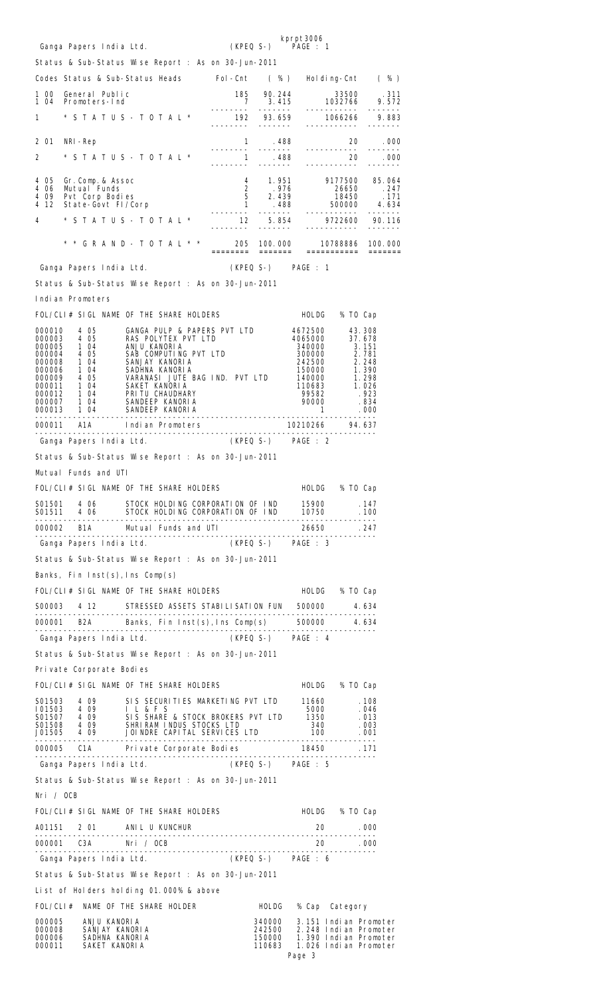| Ganga Papers India Ltd.                                                                                                                                                                                                                |                                                                                                                                                                                                                                          |                                                                                                                                        |                  | kprpt3006<br>(KPEQ S-) PAGE : 1                                                                                                                     |                |                                                |
|----------------------------------------------------------------------------------------------------------------------------------------------------------------------------------------------------------------------------------------|------------------------------------------------------------------------------------------------------------------------------------------------------------------------------------------------------------------------------------------|----------------------------------------------------------------------------------------------------------------------------------------|------------------|-----------------------------------------------------------------------------------------------------------------------------------------------------|----------------|------------------------------------------------|
| Status & Sub-Status Wise Report : As on 30-Jun-2011                                                                                                                                                                                    |                                                                                                                                                                                                                                          |                                                                                                                                        |                  |                                                                                                                                                     |                |                                                |
| Codes Status & Sub-Status Heads Fol-Cnt (%) Holding-Cnt (%)                                                                                                                                                                            |                                                                                                                                                                                                                                          |                                                                                                                                        |                  |                                                                                                                                                     |                |                                                |
| 1 00<br>104                                                                                                                                                                                                                            |                                                                                                                                                                                                                                          |                                                                                                                                        |                  |                                                                                                                                                     |                |                                                |
| 1.                                                                                                                                                                                                                                     | General Public<br>Promoters-Ind<br>* S T A T U S - T O T A L * 2000 1920 1022766 10.82766 9.572<br>* S T A T U S - T O T A L * 2000 1066266 1066266 9.883                                                                                |                                                                                                                                        |                  |                                                                                                                                                     |                |                                                |
| 201<br>NRI -Rep                                                                                                                                                                                                                        |                                                                                                                                                                                                                                          |                                                                                                                                        |                  |                                                                                                                                                     |                | 20 .000                                        |
| 2                                                                                                                                                                                                                                      |                                                                                                                                                                                                                                          | $\begin{array}{cccc} & 1 & .488 \\ - & . & . & . & . & . \\ & & 1 & .488 \\ - & . & . & . & . & . \\ & & . & . & . & . \\ \end{array}$ |                  |                                                                                                                                                     | 20             | -------<br>$20 \qquad 000$                     |
|                                                                                                                                                                                                                                        |                                                                                                                                                                                                                                          |                                                                                                                                        |                  |                                                                                                                                                     |                | -------                                        |
| 4 05<br>Gr.Comp.& Assoc<br>406                                                                                                                                                                                                         |                                                                                                                                                                                                                                          |                                                                                                                                        |                  |                                                                                                                                                     |                |                                                |
| 409<br>4 12                                                                                                                                                                                                                            |                                                                                                                                                                                                                                          |                                                                                                                                        |                  |                                                                                                                                                     |                |                                                |
| 4                                                                                                                                                                                                                                      | Gr. Comp. & Assoc 5 = 0.64<br>Mutual Funds 2 = 0.77500 = 0.65 = 0.64<br>Pvt Corp Bodies 5 = 0.439 = 0.650 = 0.771<br>State-Govt FI/Corp = 0.774 L * 0.634 = 0.0000 = 0.774<br>2650 = 0.771<br>272600 = 0.774 L * 0.774 L * 0.75 = 0.7722 |                                                                                                                                        |                  |                                                                                                                                                     |                |                                                |
|                                                                                                                                                                                                                                        |                                                                                                                                                                                                                                          |                                                                                                                                        |                  |                                                                                                                                                     |                |                                                |
| Ganga Papers India Ltd.                                                                                                                                                                                                                |                                                                                                                                                                                                                                          |                                                                                                                                        |                  | (KPEQ S-) PAGE : 1                                                                                                                                  |                |                                                |
| Status & Sub-Status Wise Report : As on 30-Jun-2011                                                                                                                                                                                    |                                                                                                                                                                                                                                          |                                                                                                                                        |                  |                                                                                                                                                     |                |                                                |
| Indian Promoters                                                                                                                                                                                                                       |                                                                                                                                                                                                                                          |                                                                                                                                        |                  |                                                                                                                                                     |                |                                                |
| FOL/CLI# SIGL NAME OF THE SHARE HOLDERS                                                                                                                                                                                                |                                                                                                                                                                                                                                          |                                                                                                                                        |                  |                                                                                                                                                     | HOLDG % TO Cap |                                                |
|                                                                                                                                                                                                                                        |                                                                                                                                                                                                                                          |                                                                                                                                        |                  |                                                                                                                                                     |                |                                                |
|                                                                                                                                                                                                                                        |                                                                                                                                                                                                                                          |                                                                                                                                        |                  |                                                                                                                                                     |                |                                                |
|                                                                                                                                                                                                                                        |                                                                                                                                                                                                                                          |                                                                                                                                        |                  | 340000 3: 131<br>300000 3: 781<br>242500 2: 248<br>150000 1: 390<br>140000 1: 298<br>110683 1: 026<br>99582 .923<br>90000 834<br>1. .000<br>1. .000 |                |                                                |
|                                                                                                                                                                                                                                        |                                                                                                                                                                                                                                          |                                                                                                                                        |                  |                                                                                                                                                     |                |                                                |
|                                                                                                                                                                                                                                        |                                                                                                                                                                                                                                          |                                                                                                                                        |                  |                                                                                                                                                     |                |                                                |
| 000010 4 05 GANGA PULP & PAPERS PVT LTD 4672500 43.308<br>000003 4 05 RAS POLYTEX PVT LTD 4065000 37.678<br>000005 1 04 ANJU KANORIA 340000 3.151<br>000004 4 05 SAB COMPUTING PVT LTD 300000 3.151<br>000006 1 04 SANJAY KANORIA 2425 |                                                                                                                                                                                                                                          |                                                                                                                                        |                  |                                                                                                                                                     |                |                                                |
|                                                                                                                                                                                                                                        |                                                                                                                                                                                                                                          |                                                                                                                                        |                  |                                                                                                                                                     |                |                                                |
| Ganga Papers India Ltd.                             (KPEQ S-)       PAGE : 2                                                                                                                                                           |                                                                                                                                                                                                                                          |                                                                                                                                        |                  |                                                                                                                                                     |                |                                                |
| Status & Sub-Status Wise Report : As on 30-Jun-2011                                                                                                                                                                                    |                                                                                                                                                                                                                                          |                                                                                                                                        |                  |                                                                                                                                                     |                |                                                |
| Mutual Funds and UTI<br>FOL/CLI# SIGL NAME OF THE SHARE HOLDERS                                                                                                                                                                        |                                                                                                                                                                                                                                          |                                                                                                                                        |                  |                                                                                                                                                     |                |                                                |
|                                                                                                                                                                                                                                        |                                                                                                                                                                                                                                          |                                                                                                                                        |                  |                                                                                                                                                     | HOLDG % TO Cap |                                                |
|                                                                                                                                                                                                                                        |                                                                                                                                                                                                                                          |                                                                                                                                        |                  |                                                                                                                                                     |                |                                                |
|                                                                                                                                                                                                                                        |                                                                                                                                                                                                                                          |                                                                                                                                        |                  | 26650<br>------------------------                                                                                                                   |                |                                                |
|                                                                                                                                                                                                                                        | Ganga Papers India Ltd. (KPEQ S-) PAGE : 3                                                                                                                                                                                               |                                                                                                                                        |                  |                                                                                                                                                     |                |                                                |
| Status & Sub-Status Wise Report : As on 30-Jun-2011                                                                                                                                                                                    |                                                                                                                                                                                                                                          |                                                                                                                                        |                  |                                                                                                                                                     |                |                                                |
| Banks, Fin Inst $(s)$ , Ins Comp $(s)$                                                                                                                                                                                                 |                                                                                                                                                                                                                                          |                                                                                                                                        |                  |                                                                                                                                                     |                |                                                |
| FOL/CLI# SIGL NAME OF THE SHARE HOLDERS                                                                                                                                                                                                |                                                                                                                                                                                                                                          |                                                                                                                                        |                  |                                                                                                                                                     | HOLDG % TO Cap |                                                |
| S00003 4 12 STRESSED ASSETS STABILISATION FUN 500000 4.634                                                                                                                                                                             |                                                                                                                                                                                                                                          |                                                                                                                                        |                  |                                                                                                                                                     |                |                                                |
| 000001 B2A Banks, Fin Inst(s), Ins Comp(s) 500000 4.634                                                                                                                                                                                | Ganga Papers India Ltd. (KPEQ S-) PAGE : 4                                                                                                                                                                                               |                                                                                                                                        |                  |                                                                                                                                                     |                |                                                |
| Status & Sub-Status Wise Report : As on 30-Jun-2011                                                                                                                                                                                    |                                                                                                                                                                                                                                          |                                                                                                                                        |                  |                                                                                                                                                     |                |                                                |
| Pri vate Corporate Bodies                                                                                                                                                                                                              |                                                                                                                                                                                                                                          |                                                                                                                                        |                  |                                                                                                                                                     |                |                                                |
| FOL/CLI# SIGL NAME OF THE SHARE HOLDERS                                                                                                                                                                                                |                                                                                                                                                                                                                                          |                                                                                                                                        |                  |                                                                                                                                                     | HOLDG % TO Cap |                                                |
|                                                                                                                                                                                                                                        |                                                                                                                                                                                                                                          |                                                                                                                                        |                  |                                                                                                                                                     |                |                                                |
|                                                                                                                                                                                                                                        |                                                                                                                                                                                                                                          |                                                                                                                                        |                  |                                                                                                                                                     |                |                                                |
| 10503 4 09 SIS SECURITIES MARKETING PVT LTD 11660 . 108<br>101503 4 09 I L & F S 5000 . 046<br>S01507 4 09 SIS SHARE & STOCK BROKERS PVT LTD 1350 . 013<br>S01508 4 09 SHRIRAM INDUS STOCKS LTD 340 . 003<br>J01505 4 09 JOINDRE CAPIT |                                                                                                                                                                                                                                          |                                                                                                                                        |                  |                                                                                                                                                     |                |                                                |
|                                                                                                                                                                                                                                        |                                                                                                                                                                                                                                          |                                                                                                                                        |                  |                                                                                                                                                     |                |                                                |
| Ganga Papers India Ltd. (KPEQ S-) PAGE : 5                                                                                                                                                                                             |                                                                                                                                                                                                                                          |                                                                                                                                        |                  |                                                                                                                                                     |                |                                                |
| Status & Sub-Status Wise Report : As on 30-Jun-2011                                                                                                                                                                                    |                                                                                                                                                                                                                                          |                                                                                                                                        |                  |                                                                                                                                                     |                |                                                |
| Nri / OCB                                                                                                                                                                                                                              |                                                                                                                                                                                                                                          |                                                                                                                                        |                  |                                                                                                                                                     |                |                                                |
| FOL/CLI# SIGL NAME OF THE SHARE HOLDERS                                                                                                                                                                                                |                                                                                                                                                                                                                                          |                                                                                                                                        |                  |                                                                                                                                                     | HOLDG % TO Cap |                                                |
| A01151 2 01 ANIL U KUNCHUR                                                                                                                                                                                                             |                                                                                                                                                                                                                                          |                                                                                                                                        |                  |                                                                                                                                                     | 20 .000        |                                                |
|                                                                                                                                                                                                                                        |                                                                                                                                                                                                                                          |                                                                                                                                        |                  |                                                                                                                                                     |                |                                                |
| Ganga Papers India Ltd. (KPEQ S-) PAGE : 6                                                                                                                                                                                             |                                                                                                                                                                                                                                          |                                                                                                                                        |                  |                                                                                                                                                     |                |                                                |
| Status & Sub-Status Wise Report : As on 30-Jun-2011                                                                                                                                                                                    |                                                                                                                                                                                                                                          |                                                                                                                                        |                  |                                                                                                                                                     |                |                                                |
| List of Holders holding 01.000% & above<br>FOL/CLI# NAME OF THE SHARE HOLDER                                                                                                                                                           |                                                                                                                                                                                                                                          |                                                                                                                                        |                  |                                                                                                                                                     |                |                                                |
| 000005 ANJU KANORIA                                                                                                                                                                                                                    |                                                                                                                                                                                                                                          |                                                                                                                                        |                  | HOLDG % Cap Category                                                                                                                                |                | 340000 3.151 Indian Promoter                   |
| 000008<br>SANJAY KANORIA<br>000006<br>SADHNA KANORIA                                                                                                                                                                                   |                                                                                                                                                                                                                                          |                                                                                                                                        | 242500<br>150000 |                                                                                                                                                     |                | 2.248 Indian Promoter<br>1.390 Indian Promoter |
| 000011<br>SAKET KANORIA                                                                                                                                                                                                                |                                                                                                                                                                                                                                          |                                                                                                                                        | 110683           | Page 3                                                                                                                                              |                | 1.026 Indian Promoter                          |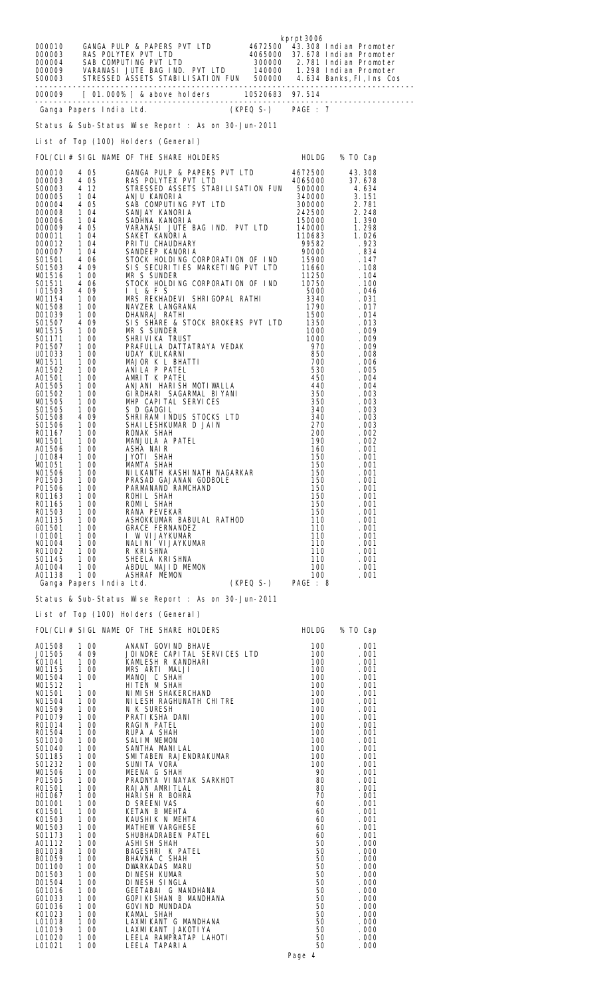|                  |                 | 800010 GANGA PULP & PAPERS PVT LTD 4672500 43.308 Indi an Promoter<br>000003 RAS POLYTEX PVT LTD 4065000 37.678 Indi an Promoter<br>000004 SAB COMPUTING PVT LTD 300000 2.781 Indi an Promoter<br>000009 VARANASI JUTE BAG IND. PVT | kprpt3006 |               |
|------------------|-----------------|-------------------------------------------------------------------------------------------------------------------------------------------------------------------------------------------------------------------------------------|-----------|---------------|
|                  |                 |                                                                                                                                                                                                                                     |           |               |
|                  |                 | Ganga Papers India Ltd. (KPEQ S-) PAGE : 7                                                                                                                                                                                          |           |               |
|                  |                 | Status & Sub-Status Wise Report : As on 30-Jun-2011                                                                                                                                                                                 |           |               |
|                  |                 | List of Top (100) Holders (General)                                                                                                                                                                                                 |           |               |
|                  |                 | FOL/CLI# SIGL NAME OF THE SHARE HOLDERS HOLDG % TO Cap                                                                                                                                                                              |           |               |
|                  |                 |                                                                                                                                                                                                                                     |           |               |
|                  |                 |                                                                                                                                                                                                                                     |           |               |
|                  |                 |                                                                                                                                                                                                                                     |           |               |
|                  |                 |                                                                                                                                                                                                                                     |           |               |
|                  |                 |                                                                                                                                                                                                                                     |           |               |
|                  |                 |                                                                                                                                                                                                                                     |           |               |
|                  |                 | L'EST or top (LOU) HEIDER (JAMER LAMERATI) (1961-2002)<br>EGL/CLI # SICL MANE OF THE SARRE HOLDERS HOLD & 100 C 2010<br>2000031 4 405 C 2040A PULLP A PAPER START LID<br>2000031 4 105 C 2000031 4 105 EMPLE START LID (46/25000) 4 |           |               |
|                  |                 |                                                                                                                                                                                                                                     |           |               |
|                  |                 |                                                                                                                                                                                                                                     |           |               |
|                  |                 |                                                                                                                                                                                                                                     |           |               |
|                  |                 |                                                                                                                                                                                                                                     |           |               |
|                  |                 |                                                                                                                                                                                                                                     |           |               |
|                  |                 |                                                                                                                                                                                                                                     |           |               |
|                  |                 |                                                                                                                                                                                                                                     |           |               |
|                  |                 |                                                                                                                                                                                                                                     |           |               |
|                  |                 |                                                                                                                                                                                                                                     |           |               |
|                  |                 |                                                                                                                                                                                                                                     |           |               |
|                  |                 |                                                                                                                                                                                                                                     |           |               |
|                  |                 |                                                                                                                                                                                                                                     |           |               |
|                  |                 |                                                                                                                                                                                                                                     |           |               |
|                  |                 |                                                                                                                                                                                                                                     |           |               |
|                  |                 |                                                                                                                                                                                                                                     |           |               |
|                  |                 |                                                                                                                                                                                                                                     |           |               |
|                  |                 |                                                                                                                                                                                                                                     |           |               |
|                  |                 |                                                                                                                                                                                                                                     |           |               |
|                  |                 |                                                                                                                                                                                                                                     |           |               |
|                  |                 |                                                                                                                                                                                                                                     |           |               |
|                  |                 |                                                                                                                                                                                                                                     |           |               |
|                  |                 | Status & Sub-Status Wise Report : As on 30-Jun-2011                                                                                                                                                                                 |           |               |
|                  |                 | List of Top (100) Holders (General)                                                                                                                                                                                                 |           |               |
|                  |                 | FOL/CLI# SIGL NAME OF THE SHARE HOLDERS FOL/CLI# SIGL NAME OF THE SHARE HOLDERS                                                                                                                                                     |           |               |
|                  |                 |                                                                                                                                                                                                                                     |           |               |
|                  |                 |                                                                                                                                                                                                                                     |           |               |
|                  |                 |                                                                                                                                                                                                                                     |           |               |
|                  |                 |                                                                                                                                                                                                                                     |           |               |
|                  |                 |                                                                                                                                                                                                                                     |           |               |
|                  |                 |                                                                                                                                                                                                                                     |           |               |
|                  |                 |                                                                                                                                                                                                                                     |           |               |
|                  |                 |                                                                                                                                                                                                                                     |           |               |
|                  |                 |                                                                                                                                                                                                                                     |           |               |
|                  |                 |                                                                                                                                                                                                                                     |           |               |
|                  |                 |                                                                                                                                                                                                                                     |           |               |
|                  |                 |                                                                                                                                                                                                                                     |           |               |
|                  |                 |                                                                                                                                                                                                                                     |           |               |
|                  |                 |                                                                                                                                                                                                                                     |           |               |
|                  |                 |                                                                                                                                                                                                                                     |           |               |
|                  |                 |                                                                                                                                                                                                                                     |           |               |
|                  |                 |                                                                                                                                                                                                                                     |           |               |
| L01018           | 100             | LAXMI KANT G MANDHANA                                                                                                                                                                                                               | 50        | . 000         |
| L01019<br>L01020 | 1 00<br>1<br>00 | LAXMI KANT JAKOTI YA<br>LEELA RAMPRATAP LAHOTI                                                                                                                                                                                      | 50<br>50  | . 000<br>.000 |
| L01021           | 1 00            | LEELA TAPARI A                                                                                                                                                                                                                      | 50        | .000          |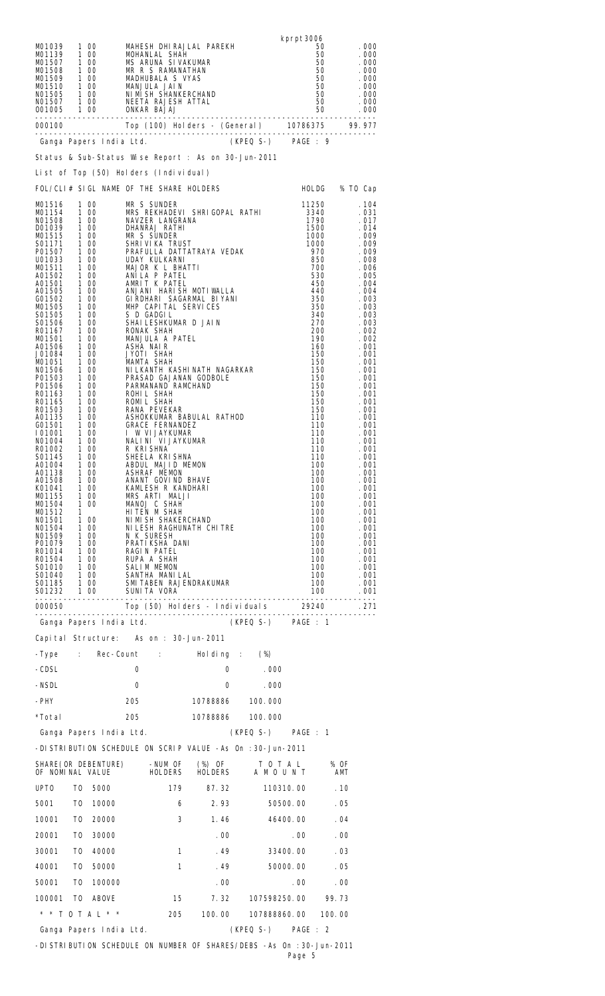| MO1039<br>MO1139                                                                                                                                                                                                                                                                                                                                                                                                                                               |           | 1 00<br>1 00                                                                                                                                                   | MOHANLAL SHAH                                                                                                                                                                                                                                                                                                                                                                                                                                                                                                                                                                                                                                                                                                                                                                                                                                            |                | MAHESH DHIRAJLAL PAREKH<br>MO1139 1 00 MOHANLAL SHAH 50 .000<br>MO1507 1 00 MS ARUNA SI VAKUMAR 50 .000<br>MO1508 1 00 MR R S RAMANATHAN 50 .000<br>MO1509 1 00 MADHUBALA S VYAS 50 .000<br>MO1510 1 00 MADHUBALA S VYAS 50 .000<br>MO1510 1 00 MANJULA JAIN 50 .00                        |                           | kprpt3006    | 50<br>$\begin{array}{c} 50 \\ 50 \end{array}$                                                                                                                                                                                                                                                                                                              | . 000<br>. 000                                                                                                                                                                                                                                                                                                                                                                                                                    |
|----------------------------------------------------------------------------------------------------------------------------------------------------------------------------------------------------------------------------------------------------------------------------------------------------------------------------------------------------------------------------------------------------------------------------------------------------------------|-----------|----------------------------------------------------------------------------------------------------------------------------------------------------------------|----------------------------------------------------------------------------------------------------------------------------------------------------------------------------------------------------------------------------------------------------------------------------------------------------------------------------------------------------------------------------------------------------------------------------------------------------------------------------------------------------------------------------------------------------------------------------------------------------------------------------------------------------------------------------------------------------------------------------------------------------------------------------------------------------------------------------------------------------------|----------------|--------------------------------------------------------------------------------------------------------------------------------------------------------------------------------------------------------------------------------------------------------------------------------------------|---------------------------|--------------|------------------------------------------------------------------------------------------------------------------------------------------------------------------------------------------------------------------------------------------------------------------------------------------------------------------------------------------------------------|-----------------------------------------------------------------------------------------------------------------------------------------------------------------------------------------------------------------------------------------------------------------------------------------------------------------------------------------------------------------------------------------------------------------------------------|
|                                                                                                                                                                                                                                                                                                                                                                                                                                                                |           |                                                                                                                                                                |                                                                                                                                                                                                                                                                                                                                                                                                                                                                                                                                                                                                                                                                                                                                                                                                                                                          |                | 000100 Top (100) Holders - (General) 10786375 99.977<br>Canga Papers India Ltd. (KPEQ S-) PAGE: 9                                                                                                                                                                                          |                           |              |                                                                                                                                                                                                                                                                                                                                                            |                                                                                                                                                                                                                                                                                                                                                                                                                                   |
|                                                                                                                                                                                                                                                                                                                                                                                                                                                                |           |                                                                                                                                                                |                                                                                                                                                                                                                                                                                                                                                                                                                                                                                                                                                                                                                                                                                                                                                                                                                                                          |                |                                                                                                                                                                                                                                                                                            |                           |              |                                                                                                                                                                                                                                                                                                                                                            |                                                                                                                                                                                                                                                                                                                                                                                                                                   |
|                                                                                                                                                                                                                                                                                                                                                                                                                                                                |           |                                                                                                                                                                |                                                                                                                                                                                                                                                                                                                                                                                                                                                                                                                                                                                                                                                                                                                                                                                                                                                          |                | Status & Sub-Status Wise Report : As on 30-Jun-2011                                                                                                                                                                                                                                        |                           |              |                                                                                                                                                                                                                                                                                                                                                            |                                                                                                                                                                                                                                                                                                                                                                                                                                   |
|                                                                                                                                                                                                                                                                                                                                                                                                                                                                |           |                                                                                                                                                                | List of Top (50) Holders (Individual)                                                                                                                                                                                                                                                                                                                                                                                                                                                                                                                                                                                                                                                                                                                                                                                                                    |                |                                                                                                                                                                                                                                                                                            |                           |              |                                                                                                                                                                                                                                                                                                                                                            |                                                                                                                                                                                                                                                                                                                                                                                                                                   |
|                                                                                                                                                                                                                                                                                                                                                                                                                                                                |           |                                                                                                                                                                | FOL/CLI# SIGL NAME OF THE SHARE HOLDERS                                                                                                                                                                                                                                                                                                                                                                                                                                                                                                                                                                                                                                                                                                                                                                                                                  |                |                                                                                                                                                                                                                                                                                            |                           |              | HOLDG % TO Cap                                                                                                                                                                                                                                                                                                                                             |                                                                                                                                                                                                                                                                                                                                                                                                                                   |
| MO1516<br>MO1154<br>NO1508<br>D01039<br>MO1515<br>S01171<br>P01507<br>U01033<br>MO1511<br>A01502<br>A01501<br>A01505<br>G01502<br>MO1505<br>S01505<br>S01506<br>R01167<br>M01501<br>A01506<br>J01084<br>MO1051<br>NO1506<br>P01503<br>P01506<br>R01163<br>R01165<br>R01503<br>A01135<br>G01501<br>101001<br>NO1004<br>R01002<br>S01145<br>A01004<br>A01138<br>A01508<br>K01041<br>MO1155<br>MO1504<br>M01512<br>NO1501<br>NO1504<br>NO1509<br>P01079<br>R01014 | 1 00<br>1 | 1 00<br>1 00<br>1 00<br>1 00<br>1 00<br>1 00<br>1 00<br>1 00<br>1 00<br>R01014 1 00<br>R01504 1 00<br>S01010 1 00<br>S01040 1 00<br>S01185 1 00<br>S01232 1 00 | MR S SUNDER<br>100 MR S SUNDER<br>100 MRS REKHADEVI<br>100 MAVZER LANGRAI<br>100 DHANRAJ RATHI<br>100 MR S SUNDER<br>100 MR S SUNDER<br>100 DHANRAJ RATHI<br>100 DHANRAJ RATHI<br>100 MAJOR K L BHA<br>100 ANILA P PATEL<br>100 ANILA P PATEL<br>100 ANILA RATEL<br>100 GIRDHARI<br>NAVZER LANGRANA<br>SHRI VI KA TRUST<br>MAJOR K L BHATTI<br>MANJULA A PATEL<br>PARMANAND RAMCHAND<br>NOMIL SHAH<br>100 RANA PEVEKAR<br>100 ASHOKKUMAR BABULA<br>100 GRACE FERNANDEZ<br>100 I MLIJAYKUMAR<br>100 NALINI VIJAYKUMAR<br>100 R KRISHNA<br>100 SHEELA KRISHNA<br>100 ABBUL MAJID MEMON<br>100 ABBUL MAJID MEMON<br>100 ASHRAF MEMON<br>ANANT GOVIND BHAVE<br>KAMLESH R KANDHARI<br>MRS ARTI MALJI<br>MANOJ C SHAH<br>HI TEN M SHAH<br>NI MI SH SHAKERCHAND<br>N K SURESH<br>PRATI KSHA DANI<br>RAGIN PATEL<br>RUPA A SHAH<br>SALIM MEMON<br>SANTHA MANILAL |                | MRS REKHADEVI SHRIGOPAL RATHI<br>PRAFULLA DATTATRAYA VEDAK<br>ANJANI HARISH MOTIWALLA<br>GI RDHARI SAGARMAL BI YANI<br>MHP CAPITAL SERVICES<br>SHAI LESHKUMAR D JAI N<br>NI LKANTH KASHI NATH NAGARKAR<br>PRASAD GAJANAN GODBOLE<br>ASHOKKUMAR BABULAL RATHOD<br>NI LESH RAGHUNATH CHI TRE |                           |              | 11250<br>3340<br>1790<br>1500<br>1000<br>1000<br>970<br>850<br>700<br>530<br>450<br>440<br>350<br>350<br>340<br>270<br>200<br>190<br>160<br>150<br>150<br>150<br>150<br>150<br>150<br>150<br>150<br>110<br>110<br>$\frac{110}{110}$<br>110<br>110<br>100<br>100<br>100<br>100<br>100<br>100<br>100<br>100<br>100<br>100<br>100<br>100<br>100<br>100<br>100 | . 104<br>. 031<br>. 017<br>.014<br>. 009<br>. 009<br>. 009<br>. 008<br>. 006<br>. 005<br>. 004<br>. 004<br>.003<br>. 003<br>. 003<br>.003<br>. 002<br>. 002<br>. 001<br>. 001<br>. 001<br>. 001<br>. 001<br>. 001<br>. 001<br>. 001<br>. 001<br>.001<br>. 001<br>. 001<br>.001<br>. 001<br>. 001<br>.001<br>.001<br>.001<br>. 001<br>. 001<br>.001<br>. 001<br>. 001<br>.001<br>. 001<br>. 001<br>.001<br>. 001<br>. 001<br>. 001 |
|                                                                                                                                                                                                                                                                                                                                                                                                                                                                |           |                                                                                                                                                                | SUNI TA VORA                                                                                                                                                                                                                                                                                                                                                                                                                                                                                                                                                                                                                                                                                                                                                                                                                                             |                | SMI TABEN RAJENDRAKUMAR                                                                                                                                                                                                                                                                    |                           |              | 100<br>100                                                                                                                                                                                                                                                                                                                                                 | . 001<br>. 001                                                                                                                                                                                                                                                                                                                                                                                                                    |
|                                                                                                                                                                                                                                                                                                                                                                                                                                                                |           |                                                                                                                                                                |                                                                                                                                                                                                                                                                                                                                                                                                                                                                                                                                                                                                                                                                                                                                                                                                                                                          |                |                                                                                                                                                                                                                                                                                            |                           |              |                                                                                                                                                                                                                                                                                                                                                            | . 271                                                                                                                                                                                                                                                                                                                                                                                                                             |
|                                                                                                                                                                                                                                                                                                                                                                                                                                                                |           |                                                                                                                                                                |                                                                                                                                                                                                                                                                                                                                                                                                                                                                                                                                                                                                                                                                                                                                                                                                                                                          |                | Ganga Papers India Ltd. (KPEQ S-) PAGE : 1                                                                                                                                                                                                                                                 |                           |              |                                                                                                                                                                                                                                                                                                                                                            |                                                                                                                                                                                                                                                                                                                                                                                                                                   |
|                                                                                                                                                                                                                                                                                                                                                                                                                                                                |           |                                                                                                                                                                |                                                                                                                                                                                                                                                                                                                                                                                                                                                                                                                                                                                                                                                                                                                                                                                                                                                          |                | Capital Structure: As on : 30-Jun-2011                                                                                                                                                                                                                                                     |                           |              |                                                                                                                                                                                                                                                                                                                                                            |                                                                                                                                                                                                                                                                                                                                                                                                                                   |
|                                                                                                                                                                                                                                                                                                                                                                                                                                                                |           |                                                                                                                                                                |                                                                                                                                                                                                                                                                                                                                                                                                                                                                                                                                                                                                                                                                                                                                                                                                                                                          |                | -Type : Rec-Count : Holding : (%)                                                                                                                                                                                                                                                          |                           |              |                                                                                                                                                                                                                                                                                                                                                            |                                                                                                                                                                                                                                                                                                                                                                                                                                   |
| -CDSL                                                                                                                                                                                                                                                                                                                                                                                                                                                          |           |                                                                                                                                                                | 0                                                                                                                                                                                                                                                                                                                                                                                                                                                                                                                                                                                                                                                                                                                                                                                                                                                        |                |                                                                                                                                                                                                                                                                                            | $0 \qquad \qquad$<br>.000 |              |                                                                                                                                                                                                                                                                                                                                                            |                                                                                                                                                                                                                                                                                                                                                                                                                                   |
| -NSDL                                                                                                                                                                                                                                                                                                                                                                                                                                                          |           |                                                                                                                                                                | 0                                                                                                                                                                                                                                                                                                                                                                                                                                                                                                                                                                                                                                                                                                                                                                                                                                                        |                | 0                                                                                                                                                                                                                                                                                          | .000                      |              |                                                                                                                                                                                                                                                                                                                                                            |                                                                                                                                                                                                                                                                                                                                                                                                                                   |
| -PHY                                                                                                                                                                                                                                                                                                                                                                                                                                                           |           |                                                                                                                                                                | 205 — 100                                                                                                                                                                                                                                                                                                                                                                                                                                                                                                                                                                                                                                                                                                                                                                                                                                                |                |                                                                                                                                                                                                                                                                                            | 10788886 100.000          |              |                                                                                                                                                                                                                                                                                                                                                            |                                                                                                                                                                                                                                                                                                                                                                                                                                   |
| *Total                                                                                                                                                                                                                                                                                                                                                                                                                                                         |           |                                                                                                                                                                | 205                                                                                                                                                                                                                                                                                                                                                                                                                                                                                                                                                                                                                                                                                                                                                                                                                                                      |                |                                                                                                                                                                                                                                                                                            | 10788886 100.000          |              |                                                                                                                                                                                                                                                                                                                                                            |                                                                                                                                                                                                                                                                                                                                                                                                                                   |
|                                                                                                                                                                                                                                                                                                                                                                                                                                                                |           |                                                                                                                                                                | Ganga Papers India Ltd.                                                                                                                                                                                                                                                                                                                                                                                                                                                                                                                                                                                                                                                                                                                                                                                                                                  |                |                                                                                                                                                                                                                                                                                            | (KPEQ S-) PAGE : 1        |              |                                                                                                                                                                                                                                                                                                                                                            |                                                                                                                                                                                                                                                                                                                                                                                                                                   |
|                                                                                                                                                                                                                                                                                                                                                                                                                                                                |           |                                                                                                                                                                |                                                                                                                                                                                                                                                                                                                                                                                                                                                                                                                                                                                                                                                                                                                                                                                                                                                          |                | -DI STRI BUTI ON SCHEDULE ON SCRIP VALUE -As On : 30-Jun-2011                                                                                                                                                                                                                              |                           |              |                                                                                                                                                                                                                                                                                                                                                            |                                                                                                                                                                                                                                                                                                                                                                                                                                   |
|                                                                                                                                                                                                                                                                                                                                                                                                                                                                |           |                                                                                                                                                                | SHARE(OR DEBENTURE) -NUM OF<br>OF NOMINAL VALUE / HOLDERS                                                                                                                                                                                                                                                                                                                                                                                                                                                                                                                                                                                                                                                                                                                                                                                                |                | (%) OF                                                                                                                                                                                                                                                                                     | HOLDERS A MOUNT           | T O T A L    | % OF<br>AMT                                                                                                                                                                                                                                                                                                                                                |                                                                                                                                                                                                                                                                                                                                                                                                                                   |
| UPT0                                                                                                                                                                                                                                                                                                                                                                                                                                                           | T0        | 5000                                                                                                                                                           |                                                                                                                                                                                                                                                                                                                                                                                                                                                                                                                                                                                                                                                                                                                                                                                                                                                          | 179            | 87.32                                                                                                                                                                                                                                                                                      |                           | 110310.00    | . 10                                                                                                                                                                                                                                                                                                                                                       |                                                                                                                                                                                                                                                                                                                                                                                                                                   |
| 5001                                                                                                                                                                                                                                                                                                                                                                                                                                                           | T0        | 10000                                                                                                                                                          |                                                                                                                                                                                                                                                                                                                                                                                                                                                                                                                                                                                                                                                                                                                                                                                                                                                          | 6              |                                                                                                                                                                                                                                                                                            | 2.93                      | 50500.00     | . 05                                                                                                                                                                                                                                                                                                                                                       |                                                                                                                                                                                                                                                                                                                                                                                                                                   |
| 10001                                                                                                                                                                                                                                                                                                                                                                                                                                                          | T0        | 20000                                                                                                                                                          |                                                                                                                                                                                                                                                                                                                                                                                                                                                                                                                                                                                                                                                                                                                                                                                                                                                          | 3              |                                                                                                                                                                                                                                                                                            | 1.46                      | 46400.00     | . 04                                                                                                                                                                                                                                                                                                                                                       |                                                                                                                                                                                                                                                                                                                                                                                                                                   |
| 20001                                                                                                                                                                                                                                                                                                                                                                                                                                                          | T0        | 30000                                                                                                                                                          |                                                                                                                                                                                                                                                                                                                                                                                                                                                                                                                                                                                                                                                                                                                                                                                                                                                          |                | . 00                                                                                                                                                                                                                                                                                       |                           | .00          | . 00                                                                                                                                                                                                                                                                                                                                                       |                                                                                                                                                                                                                                                                                                                                                                                                                                   |
| 30001                                                                                                                                                                                                                                                                                                                                                                                                                                                          | T0        | 40000                                                                                                                                                          |                                                                                                                                                                                                                                                                                                                                                                                                                                                                                                                                                                                                                                                                                                                                                                                                                                                          | $\overline{1}$ | .49                                                                                                                                                                                                                                                                                        |                           | 33400.00     | . 03                                                                                                                                                                                                                                                                                                                                                       |                                                                                                                                                                                                                                                                                                                                                                                                                                   |
| 40001                                                                                                                                                                                                                                                                                                                                                                                                                                                          | T0        | 50000                                                                                                                                                          |                                                                                                                                                                                                                                                                                                                                                                                                                                                                                                                                                                                                                                                                                                                                                                                                                                                          | $\mathbf{1}$   | .49                                                                                                                                                                                                                                                                                        |                           | 50000.00 .05 |                                                                                                                                                                                                                                                                                                                                                            |                                                                                                                                                                                                                                                                                                                                                                                                                                   |
| 50001                                                                                                                                                                                                                                                                                                                                                                                                                                                          | T0        | 100000                                                                                                                                                         |                                                                                                                                                                                                                                                                                                                                                                                                                                                                                                                                                                                                                                                                                                                                                                                                                                                          |                | . 00                                                                                                                                                                                                                                                                                       |                           | . 00         | .00                                                                                                                                                                                                                                                                                                                                                        |                                                                                                                                                                                                                                                                                                                                                                                                                                   |
| 100001                                                                                                                                                                                                                                                                                                                                                                                                                                                         | T0        | ABOVE                                                                                                                                                          |                                                                                                                                                                                                                                                                                                                                                                                                                                                                                                                                                                                                                                                                                                                                                                                                                                                          | 15             | 7.32                                                                                                                                                                                                                                                                                       |                           | 107598250.00 | 99.73                                                                                                                                                                                                                                                                                                                                                      |                                                                                                                                                                                                                                                                                                                                                                                                                                   |
|                                                                                                                                                                                                                                                                                                                                                                                                                                                                |           | * * T O T A L * *                                                                                                                                              |                                                                                                                                                                                                                                                                                                                                                                                                                                                                                                                                                                                                                                                                                                                                                                                                                                                          | 205            |                                                                                                                                                                                                                                                                                            |                           |              |                                                                                                                                                                                                                                                                                                                                                            |                                                                                                                                                                                                                                                                                                                                                                                                                                   |
|                                                                                                                                                                                                                                                                                                                                                                                                                                                                |           | Ganga Papers India Ltd.                                                                                                                                        |                                                                                                                                                                                                                                                                                                                                                                                                                                                                                                                                                                                                                                                                                                                                                                                                                                                          |                |                                                                                                                                                                                                                                                                                            | $(KPEQ S-)$               | PAGE : 2     |                                                                                                                                                                                                                                                                                                                                                            |                                                                                                                                                                                                                                                                                                                                                                                                                                   |
|                                                                                                                                                                                                                                                                                                                                                                                                                                                                |           |                                                                                                                                                                |                                                                                                                                                                                                                                                                                                                                                                                                                                                                                                                                                                                                                                                                                                                                                                                                                                                          |                | -DI STRI BUTI ON SCHEDULE ON NUMBER OF SHARES/DEBS -As On : 30-Jun-2011                                                                                                                                                                                                                    |                           |              |                                                                                                                                                                                                                                                                                                                                                            |                                                                                                                                                                                                                                                                                                                                                                                                                                   |